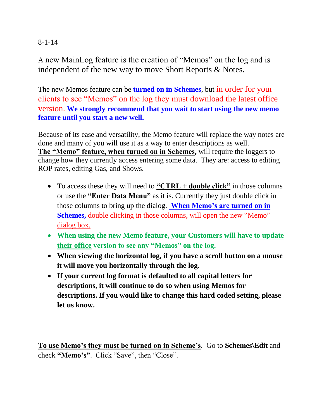## 8-1-14

A new MainLog feature is the creation of "Memos" on the log and is independent of the new way to move Short Reports & Notes.

The new Memos feature can be **turned on in Schemes**, but in order for your clients to see "Memos" on the log they must download the latest office version. **We strongly recommend that you wait to start using the new memo feature until you start a new well.**

Because of its ease and versatility, the Memo feature will replace the way notes are done and many of you will use it as a way to enter descriptions as well. **The "Memo" feature, when turned on in Schemes,** will require the loggers to change how they currently access entering some data. They are: access to editing ROP rates, editing Gas, and Shows.

- To access these they will need to **"CTRL + double click"** in those columns or use the **"Enter Data Menu"** as it is. Currently they just double click in those columns to bring up the dialog. **When Memo's are turned on in Schemes,** double clicking in those columns, will open the new "Memo" dialog box.
- **When using the new Memo feature, your Customers will have to update their office version to see any "Memos" on the log.**
- **When viewing the horizontal log, if you have a scroll button on a mouse it will move you horizontally through the log.**
- **If your current log format is defaulted to all capital letters for descriptions, it will continue to do so when using Memos for descriptions. If you would like to change this hard coded setting, please let us know.**

**To use Memo's they must be turned on in Scheme's**. Go to **Schemes\Edit** and check **"Memo's"**. Click "Save", then "Close".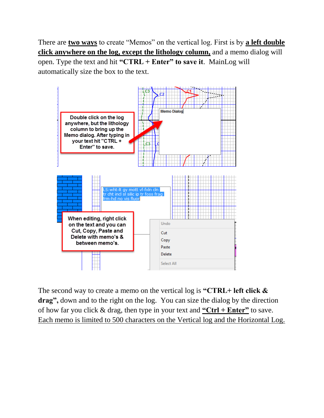There are **two ways** to create "Memos" on the vertical log. First is by **a left double click anywhere on the log, except the lithology column,** and a memo dialog will open. Type the text and hit **"CTRL + Enter" to save it**. MainLog will automatically size the box to the text.



The second way to create a memo on the vertical log is **"CTRL+ left click & drag",** down and to the right on the log. You can size the dialog by the direction of how far you click & drag, then type in your text and **"Ctrl + Enter"** to save. Each memo is limited to 500 characters on the Vertical log and the Horizontal Log.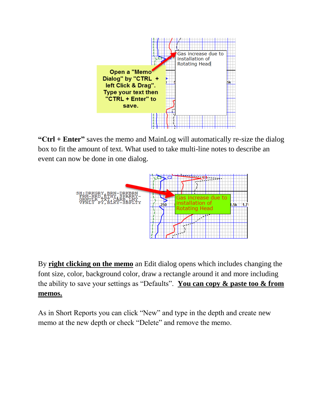

**"Ctrl + Enter"** saves the memo and MainLog will automatically re-size the dialog box to fit the amount of text. What used to take multi-line notes to describe an event can now be done in one dialog.



By **right clicking on the memo** an Edit dialog opens which includes changing the font size, color, background color, draw a rectangle around it and more including the ability to save your settings as "Defaults". **You can copy & paste too & from memos.**

As in Short Reports you can click "New" and type in the depth and create new memo at the new depth or check "Delete" and remove the memo.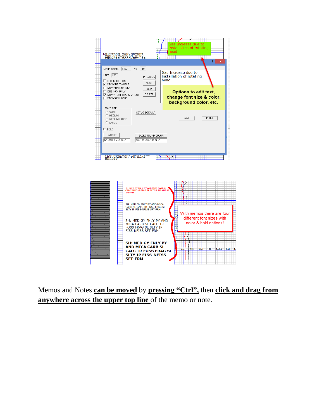

Memos and Notes **can be moved** by **pressing "Ctrl",** then **click and drag from anywhere across the upper top line** of the memo or note.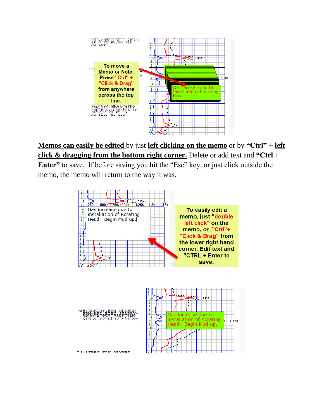

**Memos can easily be edited** by just **left clicking on the memo** or by **"Ctrl" + left click & dragging from the bottom right corner.** Delete or add text and **"Ctrl + Enter"** to save. If before saving you hit the "Esc" key, or just click outside the memo, the memo will return to the way it was.